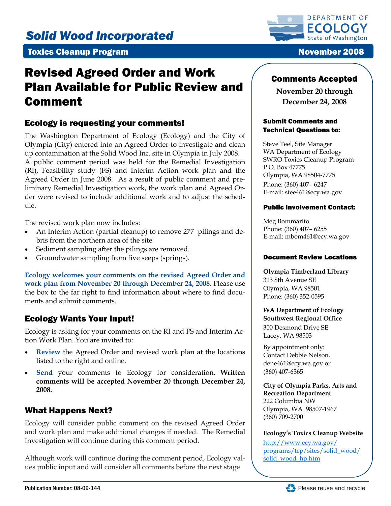# *Solid Wood Incorporated*

### **Toxics Cleanup Program November 2008**

# Revised Agreed Order and Work Plan Available for Public Review and Comment

### Ecology is requesting your comments!

The Washington Department of Ecology (Ecology) and the City of Olympia (City) entered into an Agreed Order to investigate and clean up contamination at the Solid Wood Inc. site in Olympia in July 2008. A public comment period was held for the Remedial Investigation (RI), Feasibility study (FS) and Interim Action work plan and the Agreed Order in June 2008. As a result of public comment and preliminary Remedial Investigation work, the work plan and Agreed Order were revised to include additional work and to adjust the schedule.

The revised work plan now includes:

- An Interim Action (partial cleanup) to remove 277 pilings and debris from the northern area of the site.
- Sediment sampling after the pilings are removed.
- Groundwater sampling from five seeps (springs).

**Ecology welcomes your comments on the revised Agreed Order and work plan from November 20 through December 24, 2008.** Please use the box to the far right to find information about where to find documents and submit comments.

# Ecology Wants Your Input!

Ecology is asking for your comments on the RI and FS and Interim Action Work Plan. You are invited to:

- **Review** the Agreed Order and revised work plan at the locations listed to the right and online.
- **Send** your comments to Ecology for consideration. **Written comments will be accepted November 20 through December 24, 2008.**

# What Happens Next?

Ecology will consider public comment on the revised Agreed Order and work plan and make additional changes if needed. The Remedial Investigation will continue during this comment period.

Although work will continue during the comment period, Ecology values public input and will consider all comments before the next stage



### Comments Accepted

**November 20 through December 24, 2008** 

#### Submit Comments and Technical Questions to:

Steve Teel, Site Manager WA Department of Ecology SWRO Toxics Cleanup Program P.O. Box 47775 Olympia, WA 98504-7775 Phone: (360) 407– 6247 E-mail: stee461@ecy.wa.gov

#### Public Involvement Contact:

Meg Bommarito Phone: (360) 407– 6255 E-mail: mbom461@ecy.wa.gov

#### Document Review Locations

**Olympia Timberland Library**  313 8th Avenue SE Olympia, WA 98501 Phone: (360) 352-0595

#### **WA Department of Ecology Southwest Regional Office**  300 Desmond Drive SE Lacey, WA 98503

By appointment only: Contact Debbie Nelson, dene461@ecy.wa.gov or (360) 407-6365

**City of Olympia Parks, Arts and Recreation Department**  222 Columbia NW Olympia, WA 98507-1967 (360) 709-2700

#### **Ecology's Toxics Cleanup Website**

http://www.ecy.wa.gov/ [programs/tcp/sites/solid\\_wood/](http://www.ecy.wa.gov/programs/tcp/sites/solid_wood/solid_wood_hp.htm) solid\_wood\_hp.htm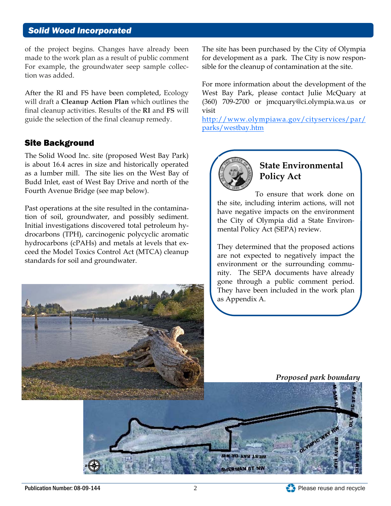### *Solid Wood Incorporated*

of the project begins. Changes have already been made to the work plan as a result of public comment For example, the groundwater seep sample collection was added.

After the RI and FS have been completed, Ecology will draft a **Cleanup Action Plan** which outlines the final cleanup activities. Results of the **RI** and **FS** will guide the selection of the final cleanup remedy.

### Site Background

The Solid Wood Inc. site (proposed West Bay Park) is about 16.4 acres in size and historically operated as a lumber mill. The site lies on the West Bay of Budd Inlet, east of West Bay Drive and north of the Fourth Avenue Bridge (see map below).

Past operations at the site resulted in the contamination of soil, groundwater, and possibly sediment. Initial investigations discovered total petroleum hydrocarbons (TPH), carcinogenic polycyclic aromatic hydrocarbons (cPAHs) and metals at levels that exceed the Model Toxics Control Act (MTCA) cleanup standards for soil and groundwater.



For more information about the development of the West Bay Park, please contact Julie McQuary at (360) 709-2700 or jmcquary@ci.olympia.wa.us or visit

http://www.olympiawa.gov/cityservices/par/ parks/westbay.htm



# **State Environmental Policy Act**

To ensure that work done on the site, including interim actions, will not have negative impacts on the environment the City of Olympia did a State Environmental Policy Act (SEPA) review.

They determined that the proposed actions are not expected to negatively impact the environment or the surrounding community. The SEPA documents have already gone through a public comment period. They have been included in the work plan as Appendix A.



*Proposed park boundary* 

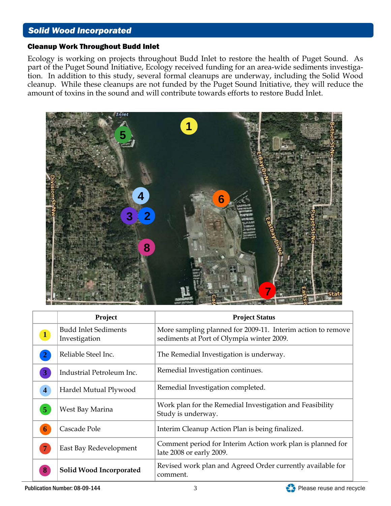### *Solid Wood Incorporated*

#### Cleanup Work Throughout Budd Inlet

Ecology is working on projects throughout Budd Inlet to restore the health of Puget Sound. As part of the Puget Sound Initiative, Ecology received funding for an area-wide sediments investigation. In addition to this study, several formal cleanups are underway, including the Solid Wood cleanup. While these cleanups are not funded by the Puget Sound Initiative, they will reduce the amount of toxins in the sound and will contribute towards efforts to restore Budd Inlet.



|                | Project                                      | <b>Project Status</b>                                                                                    |
|----------------|----------------------------------------------|----------------------------------------------------------------------------------------------------------|
| $\mathbf{1}$   | <b>Budd Inlet Sediments</b><br>Investigation | More sampling planned for 2009-11. Interim action to remove<br>sediments at Port of Olympia winter 2009. |
|                | Reliable Steel Inc.                          | The Remedial Investigation is underway.                                                                  |
| 3              | Industrial Petroleum Inc.                    | Remedial Investigation continues.                                                                        |
| $\overline{4}$ | Hardel Mutual Plywood                        | Remedial Investigation completed.                                                                        |
| $\overline{5}$ | West Bay Marina                              | Work plan for the Remedial Investigation and Feasibility<br>Study is underway.                           |
| 6              | Cascade Pole                                 | Interim Cleanup Action Plan is being finalized.                                                          |
|                | East Bay Redevelopment                       | Comment period for Interim Action work plan is planned for<br>late 2008 or early 2009.                   |
| -8             | Solid Wood Incorporated                      | Revised work plan and Agreed Order currently available for<br>comment.                                   |